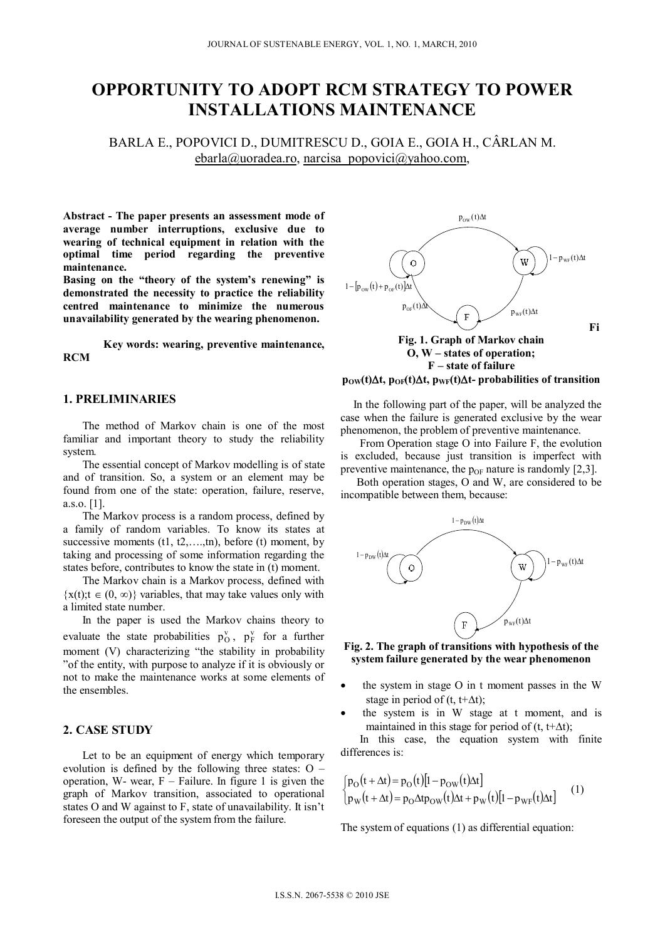# **OPPORTUNITY TO ADOPT RCM STRATEGY TO POWER INSTALLATIONS MAINTENANCE**

BARLA E., POPOVICI D., DUMITRESCU D., GOIA E., GOIA H., CÂRLAN M. ebarla@uoradea.ro, narcisa\_popovici@yahoo.com,

**Abstract - The paper presents an assessment mode of average number interruptions, exclusive due to wearing of technical equipment in relation with the optimal time period regarding the preventive maintenance.** 

**Basing on the "theory of the system's renewing" is demonstrated the necessity to practice the reliability centred maintenance to minimize the numerous unavailability generated by the wearing phenomenon.** 

**Key words: wearing, preventive maintenance, RCM** 

## **1. PRELIMINARIES**

The method of Markov chain is one of the most familiar and important theory to study the reliability system.

The essential concept of Markov modelling is of state and of transition. So, a system or an element may be found from one of the state: operation, failure, reserve, a.s.o. [1].

The Markov process is a random process, defined by a family of random variables. To know its states at successive moments  $(t1, t2, \ldots, t_n)$ , before  $(t)$  moment, by taking and processing of some information regarding the states before, contributes to know the state in (t) moment.

The Markov chain is a Markov process, defined with  $\{x(t); t \in (0, \infty)\}\$  variables, that may take values only with a limited state number.

In the paper is used the Markov chains theory to evaluate the state probabilities  $p_0^v$ ,  $p_F^v$  for a further moment (V) characterizing "the stability in probability "of the entity, with purpose to analyze if it is obviously or not to make the maintenance works at some elements of the ensembles.

### **2. CASE STUDY**

Let to be an equipment of energy which temporary evolution is defined by the following three states: O – operation, W- wear,  $F -$  Failure. In figure 1 is given the graph of Markov transition, associated to operational states O and W against to F, state of unavailability. It isn't foreseen the output of the system from the failure.



# $p_{OW}(t)\Delta t$ ,  $p_{OF}(t)\Delta t$ ,  $p_{WF}(t)\Delta t$ - probabilities of transition

In the following part of the paper, will be analyzed the case when the failure is generated exclusive by the wear phenomenon, the problem of preventive maintenance.

From Operation stage O into Failure F, the evolution is excluded, because just transition is imperfect with preventive maintenance, the  $p_{OF}$  nature is randomly [2,3].

Both operation stages, O and W, are considered to be incompatible between them, because:



**Fig. 2. The graph of transitions with hypothesis of the system failure generated by the wear phenomenon** 

- the system in stage O in t moment passes in the W stage in period of (t, t+ $\Delta t$ );
- the system is in W stage at t moment, and is maintained in this stage for period of  $(t, t+\Delta t)$ ;

In this case, the equation system with finite differences is:

$$
\begin{cases}\np_{\text{O}}(t + \Delta t) = p_{\text{O}}(t)[1 - p_{\text{OW}}(t)\Delta t] \\
p_{\text{W}}(t + \Delta t) = p_{\text{O}}\Delta t p_{\text{OW}}(t)\Delta t + p_{\text{W}}(t)[1 - p_{\text{WF}}(t)\Delta t]\n\end{cases} (1)
$$

The system of equations (1) as differential equation: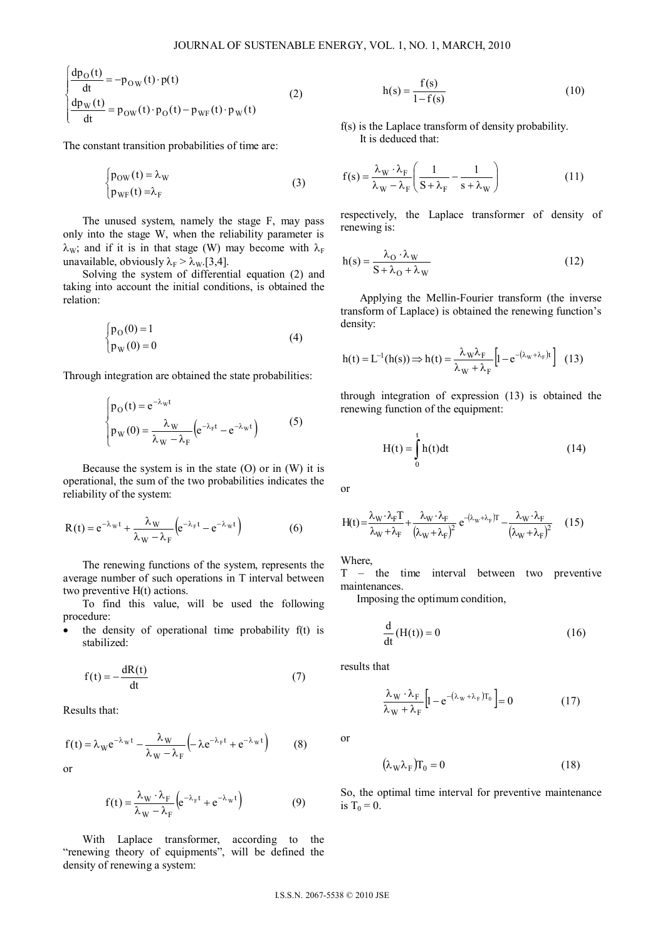$$
\begin{cases}\n\frac{dp_O(t)}{dt} = -p_{OW}(t) \cdot p(t) \\
\frac{dp_W(t)}{dt} = p_{OW}(t) \cdot p_O(t) - p_{WF}(t) \cdot p_W(t)\n\end{cases}
$$
\n(2)

The constant transition probabilities of time are:

$$
\begin{cases} p_{OW}(t) = \lambda_W \\ p_{WF}(t) = \lambda_F \end{cases}
$$
 (3)

The unused system, namely the stage F, may pass only into the stage W, when the reliability parameter is  $\lambda_{\rm W}$ ; and if it is in that stage (W) may become with  $\lambda_{\rm F}$ unavailable, obviously  $\lambda_F > \lambda_W$ [3,4].

Solving the system of differential equation (2) and taking into account the initial conditions, is obtained the relation:

$$
\begin{cases} p_O(0) = 1 \\ p_W(0) = 0 \end{cases}
$$
 (4)

Through integration are obtained the state probabilities:

$$
\begin{cases} p_O(t) = e^{-\lambda_W t} \\ p_W(0) = \frac{\lambda_W}{\lambda_W - \lambda_F} \left( e^{-\lambda_F t} - e^{-\lambda_W t} \right) \end{cases}
$$
 (5)

Because the system is in the state  $(O)$  or in  $(W)$  it is operational, the sum of the two probabilities indicates the reliability of the system:

$$
R(t) = e^{-\lambda_W t} + \frac{\lambda_W}{\lambda_W - \lambda_F} \left( e^{-\lambda_F t} - e^{-\lambda_W t} \right)
$$
 (6)

The renewing functions of the system, represents the average number of such operations in T interval between two preventive H(t) actions.

To find this value, will be used the following procedure:

 $\bullet$  the density of operational time probability  $f(t)$  is stabilized:

$$
f(t) = -\frac{dR(t)}{dt} \tag{7}
$$

Results that:

$$
f(t) = \lambda_W e^{-\lambda_W t} - \frac{\lambda_W}{\lambda_W - \lambda_F} \left( -\lambda e^{-\lambda_F t} + e^{-\lambda_W t} \right) \tag{8}
$$

or

$$
f(t) = \frac{\lambda_W \cdot \lambda_F}{\lambda_W - \lambda_F} \left( e^{-\lambda_F t} + e^{-\lambda_W t} \right)
$$
(9)

With Laplace transformer, according to the "renewing theory of equipments", will be defined the density of renewing a system:

$$
h(s) = \frac{f(s)}{1 - f(s)}\tag{10}
$$

f(s) is the Laplace transform of density probability. It is deduced that:

$$
f(s) = \frac{\lambda_{\rm W} \cdot \lambda_{\rm F}}{\lambda_{\rm W} - \lambda_{\rm F}} \left( \frac{1}{S + \lambda_{\rm F}} - \frac{1}{s + \lambda_{\rm W}} \right)
$$
(11)

respectively, the Laplace transformer of density of renewing is:

$$
h(s) = \frac{\lambda_0 \cdot \lambda_W}{S + \lambda_0 + \lambda_W} \tag{12}
$$

Applying the Mellin-Fourier transform (the inverse transform of Laplace) is obtained the renewing function's density:

$$
h(t) = L^{-1}(h(s)) \Longrightarrow h(t) = \frac{\lambda_{\rm W} \lambda_{\rm F}}{\lambda_{\rm W} + \lambda_{\rm F}} \Big[ 1 - e^{-(\lambda_{\rm W} + \lambda_{\rm F})t} \Big] \tag{13}
$$

through integration of expression (13) is obtained the renewing function of the equipment:

$$
H(t) = \int_{0}^{t} h(t)dt
$$
 (14)

or

$$
H(t) = \frac{\lambda_W \cdot \lambda_F T}{\lambda_W + \lambda_F} + \frac{\lambda_W \cdot \lambda_F}{(\lambda_W + \lambda_F)^2} e^{-(\lambda_W + \lambda_F)T} - \frac{\lambda_W \cdot \lambda_F}{(\lambda_W + \lambda_F)^2} \tag{15}
$$

Where,

T – the time interval between two preventive maintenances.

Imposing the optimum condition,

$$
\frac{d}{dt}(H(t)) = 0
$$
\n(16)

results that

$$
\frac{\lambda_{\rm W} \cdot \lambda_{\rm F}}{\lambda_{\rm W} + \lambda_{\rm F}} \left[ 1 - e^{-(\lambda_{\rm W} + \lambda_{\rm F})T_0} \right] = 0 \tag{17}
$$

or

$$
(\lambda_{\rm W}\lambda_{\rm F})\Gamma_0 = 0\tag{18}
$$

So, the optimal time interval for preventive maintenance is  $T_0 = 0$ .